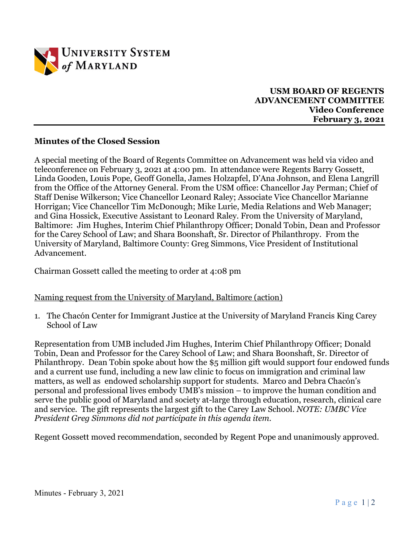

### **USM BOARD OF REGENTS ADVANCEMENT COMMITTEE Video Conference February 3, 2021**

## **Minutes of the Closed Session**

A special meeting of the Board of Regents Committee on Advancement was held via video and teleconference on February 3, 2021 at 4:00 pm. In attendance were Regents Barry Gossett, Linda Gooden, Louis Pope, Geoff Gonella, James Holzapfel, D'Ana Johnson, and Elena Langrill from the Office of the Attorney General. From the USM office: Chancellor Jay Perman; Chief of Staff Denise Wilkerson; Vice Chancellor Leonard Raley; Associate Vice Chancellor Marianne Horrigan; Vice Chancellor Tim McDonough; Mike Lurie, Media Relations and Web Manager; and Gina Hossick, Executive Assistant to Leonard Raley. From the University of Maryland, Baltimore: Jim Hughes, Interim Chief Philanthropy Officer; Donald Tobin, Dean and Professor for the Carey School of Law; and Shara Boonshaft, Sr. Director of Philanthropy. From the University of Maryland, Baltimore County: Greg Simmons, Vice President of Institutional Advancement.

Chairman Gossett called the meeting to order at 4:08 pm

#### Naming request from the University of Maryland, Baltimore (action)

1. The Chacón Center for Immigrant Justice at the University of Maryland Francis King Carey School of Law

Representation from UMB included Jim Hughes, Interim Chief Philanthropy Officer; Donald Tobin, Dean and Professor for the Carey School of Law; and Shara Boonshaft, Sr. Director of Philanthropy. Dean Tobin spoke about how the \$5 million gift would support four endowed funds and a current use fund, including a new law clinic to focus on immigration and criminal law matters, as well as endowed scholarship support for students. Marco and Debra Chacón's personal and professional lives embody UMB's mission – to improve the human condition and serve the public good of Maryland and society at-large through education, research, clinical care and service. The gift represents the largest gift to the Carey Law School. *NOTE: UMBC Vice President Greg Simmons did not participate in this agenda item.*

Regent Gossett moved recommendation, seconded by Regent Pope and unanimously approved.